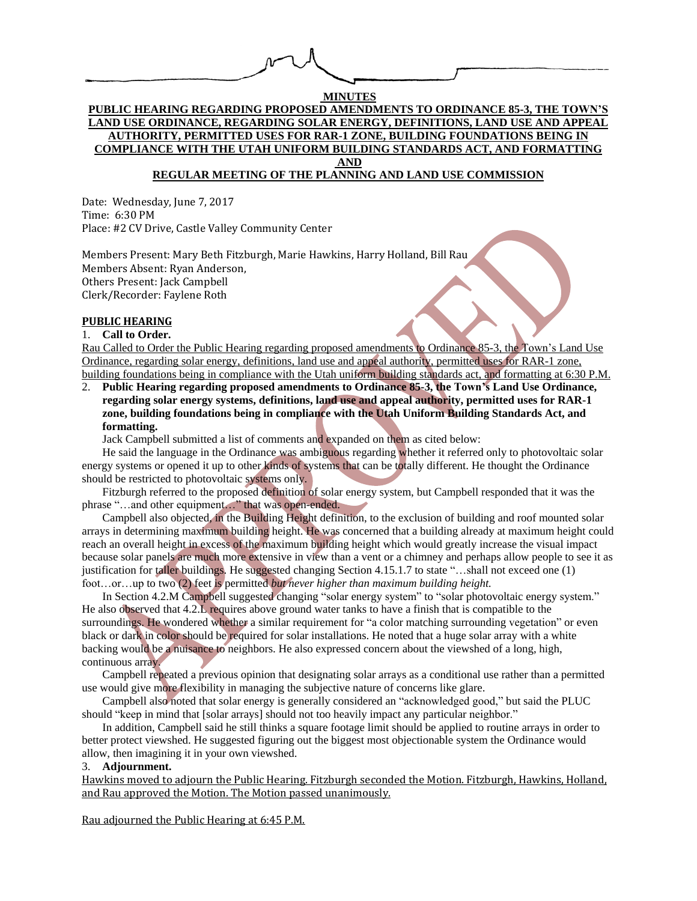# **MINUTES PUBLIC HEARING REGARDING PROPOSED AMENDMENTS TO ORDINANCE 85-3, THE TOWN'S LAND USE ORDINANCE, REGARDING SOLAR ENERGY, DEFINITIONS, LAND USE AND APPEAL AUTHORITY, PERMITTED USES FOR RAR-1 ZONE, BUILDING FOUNDATIONS BEING IN COMPLIANCE WITH THE UTAH UNIFORM BUILDING STANDARDS ACT, AND FORMATTING AND**

# **REGULAR MEETING OF THE PLANNING AND LAND USE COMMISSION**

Date: Wednesday, June 7, 2017 Time: 6:30 PM Place: #2 CV Drive, Castle Valley Community Center

Members Present: Mary Beth Fitzburgh, Marie Hawkins, Harry Holland, Bill Rau Members Absent: Ryan Anderson, Others Present: Jack Campbell Clerk/Recorder: Faylene Roth

### **PUBLIC HEARING**

#### 1. **Call to Order.**

Rau Called to Order the Public Hearing regarding proposed amendments to Ordinance 85-3, the Town's Land Use Ordinance, regarding solar energy, definitions, land use and appeal authority, permitted uses for RAR-1 zone, building foundations being in compliance with the Utah uniform building standards act, and formatting at 6:30 P.M.

2. **Public Hearing regarding proposed amendments to Ordinance 85-3, the Town's Land Use Ordinance, regarding solar energy systems, definitions, land use and appeal authority, permitted uses for RAR-1 zone, building foundations being in compliance with the Utah Uniform Building Standards Act, and formatting.**

Jack Campbell submitted a list of comments and expanded on them as cited below:

He said the language in the Ordinance was ambiguous regarding whether it referred only to photovoltaic solar energy systems or opened it up to other kinds of systems that can be totally different. He thought the Ordinance should be restricted to photovoltaic systems only.

Fitzburgh referred to the proposed definition of solar energy system, but Campbell responded that it was the phrase "…and other equipment…" that was open-ended.

Campbell also objected, in the Building Height definition, to the exclusion of building and roof mounted solar arrays in determining maximum building height. He was concerned that a building already at maximum height could reach an overall height in excess of the maximum building height which would greatly increase the visual impact because solar panels are much more extensive in view than a vent or a chimney and perhaps allow people to see it as justification for taller buildings. He suggested changing Section 4.15.1.7 to state "…shall not exceed one (1) foot…or…up to two (2) feet is permitted *but never higher than maximum building height.*

In Section 4.2.M Campbell suggested changing "solar energy system" to "solar photovoltaic energy system." He also observed that 4.2.L requires above ground water tanks to have a finish that is compatible to the surroundings. He wondered whether a similar requirement for "a color matching surrounding vegetation" or even black or dark in color should be required for solar installations. He noted that a huge solar array with a white backing would be a nuisance to neighbors. He also expressed concern about the viewshed of a long, high, continuous array.

Campbell repeated a previous opinion that designating solar arrays as a conditional use rather than a permitted use would give more flexibility in managing the subjective nature of concerns like glare.

Campbell also noted that solar energy is generally considered an "acknowledged good," but said the PLUC should "keep in mind that [solar arrays] should not too heavily impact any particular neighbor."

In addition, Campbell said he still thinks a square footage limit should be applied to routine arrays in order to better protect viewshed. He suggested figuring out the biggest most objectionable system the Ordinance would allow, then imagining it in your own viewshed.

#### 3. **Adjournment.**

Hawkins moved to adjourn the Public Hearing. Fitzburgh seconded the Motion. Fitzburgh, Hawkins, Holland, and Rau approved the Motion. The Motion passed unanimously.

Rau adjourned the Public Hearing at 6:45 P.M.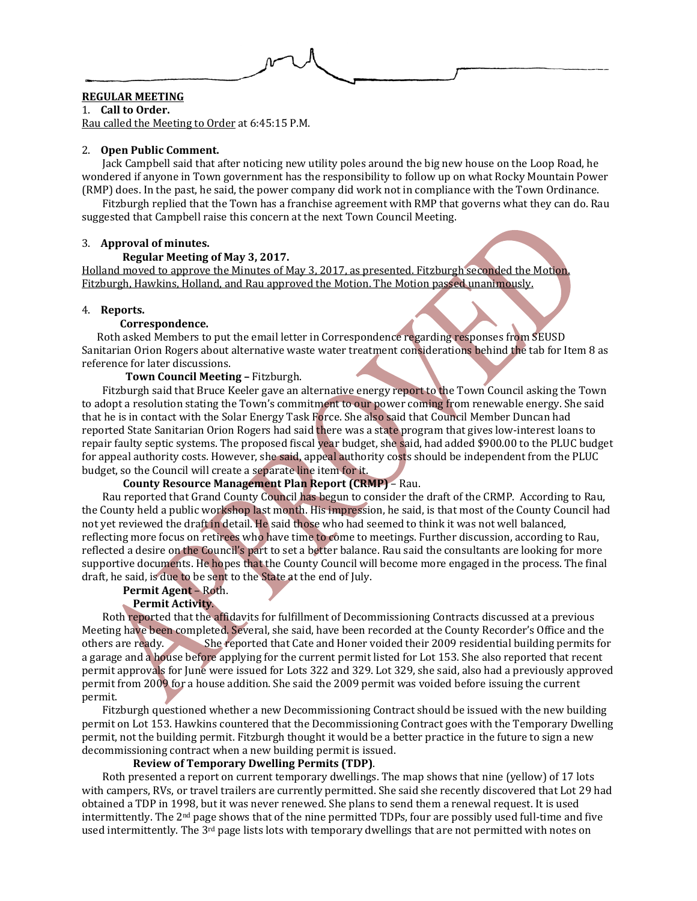

## **REGULAR MEETING**

1. **Call to Order.**

Rau called the Meeting to Order at 6:45:15 P.M.

### 2. **Open Public Comment.**

Jack Campbell said that after noticing new utility poles around the big new house on the Loop Road, he wondered if anyone in Town government has the responsibility to follow up on what Rocky Mountain Power (RMP) does. In the past, he said, the power company did work not in compliance with the Town Ordinance.

Fitzburgh replied that the Town has a franchise agreement with RMP that governs what they can do. Rau suggested that Campbell raise this concern at the next Town Council Meeting.

### 3. **Approval of minutes.**

### **Regular Meeting of May 3, 2017.**

Holland moved to approve the Minutes of May 3, 2017, as presented. Fitzburgh seconded the Motion. Fitzburgh, Hawkins, Holland, and Rau approved the Motion. The Motion passed unanimously.

### 4. **Reports.**

### **Correspondence.**

Roth asked Members to put the email letter in Correspondence regarding responses from SEUSD Sanitarian Orion Rogers about alternative waste water treatment considerations behind the tab for Item 8 as reference for later discussions.

### **Town Council Meeting –** Fitzburgh.

Fitzburgh said that Bruce Keeler gave an alternative energy report to the Town Council asking the Town to adopt a resolution stating the Town's commitment to our power coming from renewable energy. She said that he is in contact with the Solar Energy Task Force. She also said that Council Member Duncan had reported State Sanitarian Orion Rogers had said there was a state program that gives low-interest loans to repair faulty septic systems. The proposed fiscal year budget, she said, had added \$900.00 to the PLUC budget for appeal authority costs. However, she said, appeal authority costs should be independent from the PLUC budget, so the Council will create a separate line item for it.

# **County Resource Management Plan Report (CRMP)** – Rau.

Rau reported that Grand County Council has begun to consider the draft of the CRMP. According to Rau, the County held a public workshop last month. His impression, he said, is that most of the County Council had not yet reviewed the draft in detail. He said those who had seemed to think it was not well balanced, reflecting more focus on retirees who have time to come to meetings. Further discussion, according to Rau, reflected a desire on the Council's part to set a better balance. Rau said the consultants are looking for more supportive documents. He hopes that the County Council will become more engaged in the process. The final draft, he said, is due to be sent to the State at the end of July.

# **Permit Agent** – Roth.

# **Permit Activity**.

Roth reported that the affidavits for fulfillment of Decommissioning Contracts discussed at a previous Meeting have been completed. Several, she said, have been recorded at the County Recorder's Office and the others are ready. She reported that Cate and Honer voided their 2009 residential building permits for a garage and a house before applying for the current permit listed for Lot 153. She also reported that recent permit approvals for June were issued for Lots 322 and 329. Lot 329, she said, also had a previously approved permit from 2009 for a house addition. She said the 2009 permit was voided before issuing the current permit.

Fitzburgh questioned whether a new Decommissioning Contract should be issued with the new building permit on Lot 153. Hawkins countered that the Decommissioning Contract goes with the Temporary Dwelling permit, not the building permit. Fitzburgh thought it would be a better practice in the future to sign a new decommissioning contract when a new building permit is issued.

# **Review of Temporary Dwelling Permits (TDP)**.

Roth presented a report on current temporary dwellings. The map shows that nine (yellow) of 17 lots with campers, RVs, or travel trailers are currently permitted. She said she recently discovered that Lot 29 had obtained a TDP in 1998, but it was never renewed. She plans to send them a renewal request. It is used intermittently. The  $2<sup>nd</sup>$  page shows that of the nine permitted TDPs, four are possibly used full-time and five used intermittently. The 3<sup>rd</sup> page lists lots with temporary dwellings that are not permitted with notes on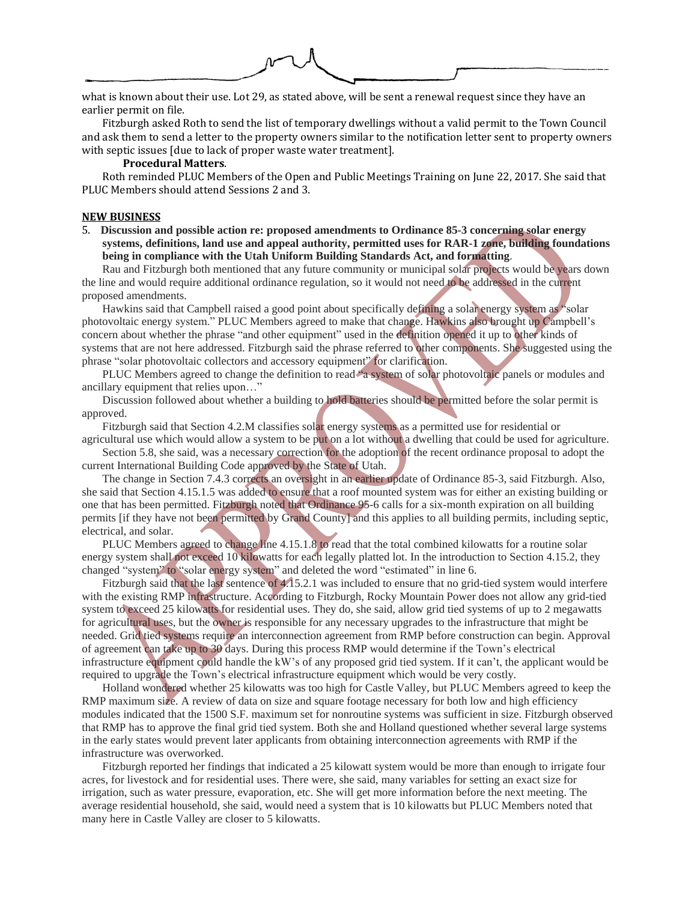what is known about their use. Lot 29, as stated above, will be sent a renewal request since they have an earlier permit on file.

Fitzburgh asked Roth to send the list of temporary dwellings without a valid permit to the Town Council and ask them to send a letter to the property owners similar to the notification letter sent to property owners with septic issues [due to lack of proper waste water treatment].

# **Procedural Matters**.

Roth reminded PLUC Members of the Open and Public Meetings Training on June 22, 2017. She said that PLUC Members should attend Sessions 2 and 3.

### **NEW BUSINESS**

5. **Discussion and possible action re: proposed amendments to Ordinance 85-3 concerning solar energy systems, definitions, land use and appeal authority, permitted uses for RAR-1 zone, building foundations being in compliance with the Utah Uniform Building Standards Act, and formatting**.

Rau and Fitzburgh both mentioned that any future community or municipal solar projects would be years down the line and would require additional ordinance regulation, so it would not need to be addressed in the current proposed amendments.

Hawkins said that Campbell raised a good point about specifically defining a solar energy system as "solar photovoltaic energy system." PLUC Members agreed to make that change. Hawkins also brought up Campbell's concern about whether the phrase "and other equipment" used in the definition opened it up to other kinds of systems that are not here addressed. Fitzburgh said the phrase referred to other components. She suggested using the phrase "solar photovoltaic collectors and accessory equipment" for clarification.

PLUC Members agreed to change the definition to read <sup>s</sup> a system of solar photovoltaic panels or modules and ancillary equipment that relies upon…"

Discussion followed about whether a building to hold batteries should be permitted before the solar permit is approved.

Fitzburgh said that Section 4.2.M classifies solar energy systems as a permitted use for residential or

agricultural use which would allow a system to be put on a lot without a dwelling that could be used for agriculture. Section 5.8, she said, was a necessary correction for the adoption of the recent ordinance proposal to adopt the current International Building Code approved by the State of Utah.

The change in Section 7.4.3 corrects an oversight in an earlier update of Ordinance 85-3, said Fitzburgh. Also, she said that Section 4.15.1.5 was added to ensure that a roof mounted system was for either an existing building or one that has been permitted. Fitzburgh noted that Ordinance 95-6 calls for a six-month expiration on all building permits [if they have not been permitted by Grand County] and this applies to all building permits, including septic, electrical, and solar.

PLUC Members agreed to change line 4.15.1.8 to read that the total combined kilowatts for a routine solar energy system shall not exceed 10 kilowatts for each legally platted lot. In the introduction to Section 4.15.2, they changed "system" to "solar energy system" and deleted the word "estimated" in line 6.

Fitzburgh said that the last sentence of 4.15.2.1 was included to ensure that no grid-tied system would interfere with the existing RMP infrastructure. According to Fitzburgh, Rocky Mountain Power does not allow any grid-tied system to exceed 25 kilowatts for residential uses. They do, she said, allow grid tied systems of up to 2 megawatts for agricultural uses, but the owner is responsible for any necessary upgrades to the infrastructure that might be needed. Grid tied systems require an interconnection agreement from RMP before construction can begin. Approval of agreement can take up to 30 days. During this process RMP would determine if the Town's electrical infrastructure equipment could handle the kW's of any proposed grid tied system. If it can't, the applicant would be required to upgrade the Town's electrical infrastructure equipment which would be very costly.

Holland wondered whether 25 kilowatts was too high for Castle Valley, but PLUC Members agreed to keep the RMP maximum size. A review of data on size and square footage necessary for both low and high efficiency modules indicated that the 1500 S.F. maximum set for nonroutine systems was sufficient in size. Fitzburgh observed that RMP has to approve the final grid tied system. Both she and Holland questioned whether several large systems in the early states would prevent later applicants from obtaining interconnection agreements with RMP if the infrastructure was overworked.

Fitzburgh reported her findings that indicated a 25 kilowatt system would be more than enough to irrigate four acres, for livestock and for residential uses. There were, she said, many variables for setting an exact size for irrigation, such as water pressure, evaporation, etc. She will get more information before the next meeting. The average residential household, she said, would need a system that is 10 kilowatts but PLUC Members noted that many here in Castle Valley are closer to 5 kilowatts.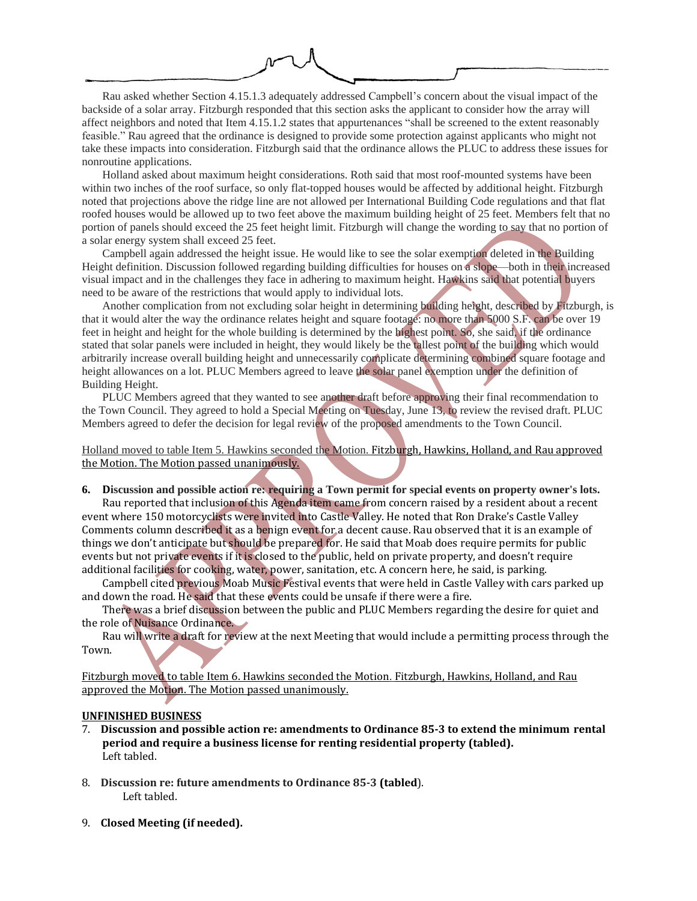Rau asked whether Section 4.15.1.3 adequately addressed Campbell's concern about the visual impact of the backside of a solar array. Fitzburgh responded that this section asks the applicant to consider how the array will affect neighbors and noted that Item 4.15.1.2 states that appurtenances "shall be screened to the extent reasonably feasible." Rau agreed that the ordinance is designed to provide some protection against applicants who might not take these impacts into consideration. Fitzburgh said that the ordinance allows the PLUC to address these issues for nonroutine applications.

Holland asked about maximum height considerations. Roth said that most roof-mounted systems have been within two inches of the roof surface, so only flat-topped houses would be affected by additional height. Fitzburgh noted that projections above the ridge line are not allowed per International Building Code regulations and that flat roofed houses would be allowed up to two feet above the maximum building height of 25 feet. Members felt that no portion of panels should exceed the 25 feet height limit. Fitzburgh will change the wording to say that no portion of a solar energy system shall exceed 25 feet.

Campbell again addressed the height issue. He would like to see the solar exemption deleted in the Building Height definition. Discussion followed regarding building difficulties for houses on a slope—both in their increased visual impact and in the challenges they face in adhering to maximum height. Hawkins said that potential buyers need to be aware of the restrictions that would apply to individual lots.

Another complication from not excluding solar height in determining building height, described by Fitzburgh, is that it would alter the way the ordinance relates height and square footage: no more than 5000 S.F. can be over 19 feet in height and height for the whole building is determined by the highest point. So, she said, if the ordinance stated that solar panels were included in height, they would likely be the tallest point of the building which would arbitrarily increase overall building height and unnecessarily complicate determining combined square footage and height allowances on a lot. PLUC Members agreed to leave the solar panel exemption under the definition of Building Height.

PLUC Members agreed that they wanted to see another draft before approving their final recommendation to the Town Council. They agreed to hold a Special Meeting on Tuesday, June 13, to review the revised draft. PLUC Members agreed to defer the decision for legal review of the proposed amendments to the Town Council.

Holland moved to table Item 5. Hawkins seconded the Motion. Fitzburgh, Hawkins, Holland, and Rau approved the Motion. The Motion passed unanimously.

6. Discussion and possible action rex requiring a Town permit for special events on property owner's lots. Rau reported that inclusion of this Agenda item came from concern raised by a resident about a recent event where 150 motorcyclists were invited into Castle Valley. He noted that Ron Drake's Castle Valley Comments column described it as a benign event for a decent cause. Rau observed that it is an example of things we don't anticipate but should be prepared for. He said that Moab does require permits for public events but not private events if it is closed to the public, held on private property, and doesn't require additional facilities for cooking, water, power, sanitation, etc. A concern here, he said, is parking.

Campbell cited previous Moab Music Festival events that were held in Castle Valley with cars parked up and down the road. He said that these events could be unsafe if there were a fire.

There was a brief discussion between the public and PLUC Members regarding the desire for quiet and the role of Nuisance Ordinance.

Rau will write a draft for review at the next Meeting that would include a permitting process through the Town.

Fitzburgh moved to table Item 6. Hawkins seconded the Motion. Fitzburgh, Hawkins, Holland, and Rau approved the Motion. The Motion passed unanimously.

### **UNFINISHED BUSINESS**

- 7. **Discussion and possible action re: amendments to Ordinance 85-3 to extend the minimum rental period and require a business license for renting residential property (tabled).** Left tabled.
- 8. **Discussion re: future amendments to Ordinance 85-3 (tabled**). Left tabled.
- 9. **Closed Meeting (if needed).**